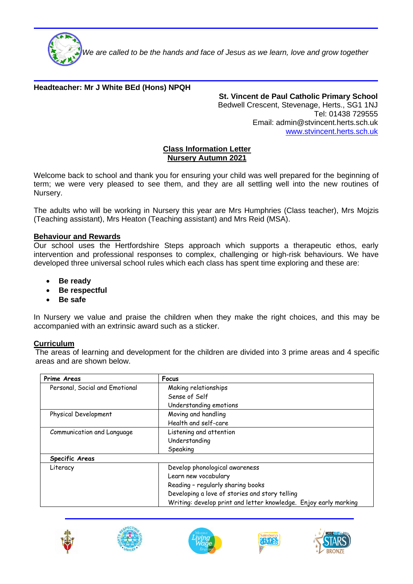

 *We are called to be the hands and face of Jesus as we learn, love and grow together*

# **Headteacher: Mr J White BEd (Hons) NPQH**

**St. Vincent de Paul Catholic Primary School** Bedwell Crescent, Stevenage, Herts., SG1 1NJ Tel: 01438 729555 Email: admin@stvincent.herts.sch.uk [www.stvincent.herts.sch.uk](http://www.stvincent.herts.sch.uk/)

### **Class Information Letter Nursery Autumn 2021**

Welcome back to school and thank you for ensuring your child was well prepared for the beginning of term; we were very pleased to see them, and they are all settling well into the new routines of Nursery.

The adults who will be working in Nursery this year are Mrs Humphries (Class teacher), Mrs Mojzis (Teaching assistant), Mrs Heaton (Teaching assistant) and Mrs Reid (MSA).

## **Behaviour and Rewards**

Our school uses the Hertfordshire Steps approach which supports a therapeutic ethos, early intervention and professional responses to complex, challenging or high-risk behaviours. We have developed three universal school rules which each class has spent time exploring and these are:

- **Be ready**
- **Be respectful**
- **Be safe**

In Nursery we value and praise the children when they make the right choices, and this may be accompanied with an extrinsic award such as a sticker.

### **Curriculum**

The areas of learning and development for the children are divided into 3 prime areas and 4 specific areas and are shown below.

| Prime Areas                    | Focus                                                            |
|--------------------------------|------------------------------------------------------------------|
| Personal, Social and Emotional | Making relationships                                             |
|                                | Sense of Self                                                    |
|                                | Understanding emotions                                           |
| Physical Development           | Moving and handling                                              |
|                                | Health and self-care                                             |
| Communication and Language     | Listening and attention                                          |
|                                | Understanding                                                    |
|                                | Speaking                                                         |
| Specific Areas                 |                                                                  |
| Literacy                       | Develop phonological awareness                                   |
|                                | Learn new vocabulary                                             |
|                                | Reading - regularly sharing books                                |
|                                | Developing a love of stories and story telling                   |
|                                | Writing: develop print and letter knowledge. Enjoy early marking |









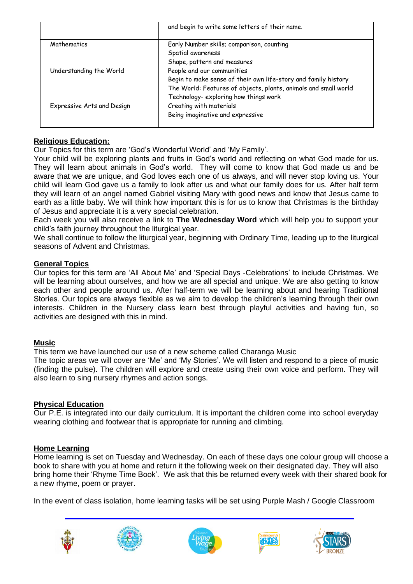|                            | and begin to write some letters of their name.                  |
|----------------------------|-----------------------------------------------------------------|
|                            |                                                                 |
| Mathematics                | Early Number skills; comparison, counting                       |
|                            | Spatial awareness                                               |
|                            | Shape, pattern and measures                                     |
| Understanding the World    | People and our communities                                      |
|                            | Begin to make sense of their own life-story and family history  |
|                            | The World: Features of objects, plants, animals and small world |
|                            | Technology- exploring how things work                           |
| Expressive Arts and Design | Creating with materials                                         |
|                            | Being imaginative and expressive                                |
|                            |                                                                 |

# **Religious Education:**

Our Topics for this term are 'God's Wonderful World' and 'My Family'.

Your child will be exploring plants and fruits in God's world and reflecting on what God made for us. They will learn about animals in God's world. They will come to know that God made us and be aware that we are unique, and God loves each one of us always, and will never stop loving us. Your child will learn God gave us a family to look after us and what our family does for us. After half term they will learn of an angel named Gabriel visiting Mary with good news and know that Jesus came to earth as a little baby. We will think how important this is for us to know that Christmas is the birthday of Jesus and appreciate it is a very special celebration.

Each week you will also receive a link to **The Wednesday Word** which will help you to support your child's faith journey throughout the liturgical year.

We shall continue to follow the liturgical year, beginning with Ordinary Time, leading up to the liturgical seasons of Advent and Christmas.

## **General Topics**

Our topics for this term are 'All About Me' and 'Special Days -Celebrations' to include Christmas. We will be learning about ourselves, and how we are all special and unique. We are also getting to know each other and people around us. After half-term we will be learning about and hearing Traditional Stories. Our topics are always flexible as we aim to develop the children's learning through their own interests. Children in the Nursery class learn best through playful activities and having fun, so activities are designed with this in mind.

## **Music**

This term we have launched our use of a new scheme called Charanga Music

The topic areas we will cover are 'Me' and 'My Stories'. We will listen and respond to a piece of music (finding the pulse). The children will explore and create using their own voice and perform. They will also learn to sing nursery rhymes and action songs.

# **Physical Education**

Our P.E. is integrated into our daily curriculum. It is important the children come into school everyday wearing clothing and footwear that is appropriate for running and climbing.

# **Home Learning**

Home learning is set on Tuesday and Wednesday. On each of these days one colour group will choose a book to share with you at home and return it the following week on their designated day. They will also bring home their 'Rhyme Time Book'. We ask that this be returned every week with their shared book for a new rhyme, poem or prayer.

In the event of class isolation, home learning tasks will be set using Purple Mash / Google Classroom









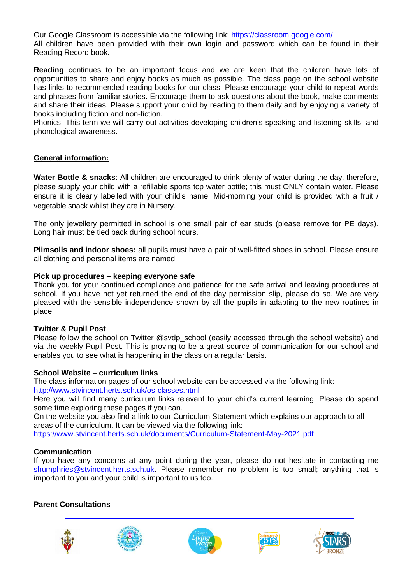Our Google Classroom is accessible via the following link:<https://classroom.google.com/> All children have been provided with their own login and password which can be found in their Reading Record book.

**Reading** continues to be an important focus and we are keen that the children have lots of opportunities to share and enjoy books as much as possible. The class page on the school website has links to recommended reading books for our class. Please encourage your child to repeat words and phrases from familiar stories. Encourage them to ask questions about the book, make comments and share their ideas. Please support your child by reading to them daily and by enjoying a variety of books including fiction and non-fiction.

Phonics: This term we will carry out activities developing children's speaking and listening skills, and phonological awareness.

## **General information:**

**Water Bottle & snacks**: All children are encouraged to drink plenty of water during the day, therefore, please supply your child with a refillable sports top water bottle; this must ONLY contain water. Please ensure it is clearly labelled with your child's name. Mid-morning your child is provided with a fruit / vegetable snack whilst they are in Nursery.

The only jewellery permitted in school is one small pair of ear studs (please remove for PE days). Long hair must be tied back during school hours.

**Plimsolls and indoor shoes:** all pupils must have a pair of well-fitted shoes in school. Please ensure all clothing and personal items are named.

### **Pick up procedures – keeping everyone safe**

Thank you for your continued compliance and patience for the safe arrival and leaving procedures at school. If you have not yet returned the end of the day permission slip, please do so. We are very pleased with the sensible independence shown by all the pupils in adapting to the new routines in place.

### **Twitter & Pupil Post**

Please follow the school on Twitter @svdp\_school (easily accessed through the school website) and via the weekly Pupil Post. This is proving to be a great source of communication for our school and enables you to see what is happening in the class on a regular basis.

### **School Website – curriculum links**

The class information pages of our school website can be accessed via the following link:

<http://www.stvincent.herts.sch.uk/os-classes.html>

Here you will find many curriculum links relevant to your child's current learning. Please do spend some time exploring these pages if you can.

On the website you also find a link to our Curriculum Statement which explains our approach to all areas of the curriculum. It can be viewed via the following link:

<https://www.stvincent.herts.sch.uk/documents/Curriculum-Statement-May-2021.pdf>

### **Communication**

If you have any concerns at any point during the year, please do not hesitate in contacting me [shumphries@stvincent.herts.sch.uk.](mailto:shumphries@stvincent.herts.sch.uk) Please remember no problem is too small; anything that is important to you and your child is important to us too.

### **Parent Consultations**